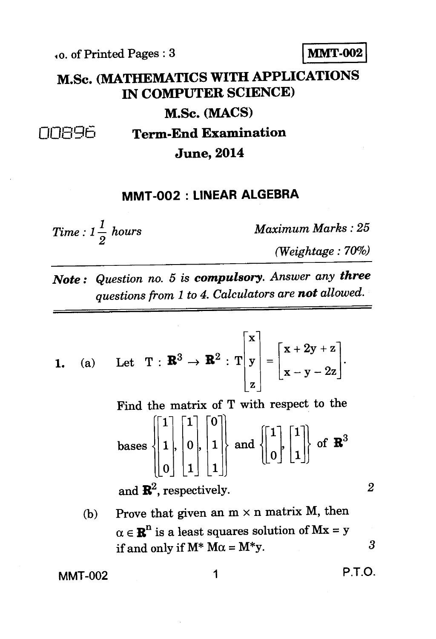**lo.** of Printed Pages : 3

**M.Sc. (MATHEMATICS WITH APPLICATIONS IN COMPUTER SCIENCE)** 

**M.Sc. (MACS)** 

008% **Term-End Examination** 

**June, 2014** 

## **MMT-002 : LINEAR ALGEBRA**

 $Time: 1\frac{1}{2}$  hours Maximum Marks : 25 *2* 

*(Weightage : 70%)* 

*Note : Question no. 5 is compulsory. Answer any three questions from 1 to 4. Calculators are not allowed.* 

1. (a) Let 
$$
T : \mathbf{R}^3 \to \mathbf{R}^2 : T \begin{bmatrix} x \\ y \\ z \end{bmatrix} = \begin{bmatrix} x + 2y + z \\ x - y - 2z \end{bmatrix}
$$
.

 $\begin{bmatrix} 1 \\ 1 \end{bmatrix}$   $\begin{bmatrix} 1 \\ 0 \end{bmatrix}$  $\begin{bmatrix} 1 \\ 1 \end{bmatrix}, \begin{bmatrix} 0 \\ 0 \end{bmatrix}, \begin{bmatrix} 1 \\ 1 \end{bmatrix}$  $\begin{smallmatrix} 0 \end{smallmatrix} \begin{bmatrix} 1 \end{bmatrix} \begin{bmatrix} 1 \end{bmatrix}$ bases  $\{ |1|, |0|, |1| \}$  and  $\{ |0|, |1| \}$  of  $\mathbb{R}^3$ Find the matrix of T with respect to the

and  $\mathbb{R}^2$ , respectively.  $\qquad \qquad 2$ 

(b) Prove that given an  $m \times n$  matrix M, then  $\alpha \in \mathbb{R}^n$  is a least squares solution of  $Mx = y$ if and only if  $M^*$   $M\alpha = M^*y$ . 3

MMT-002 1 **P.T.O.** 

$$
P.T.O.
$$

$$
\bf MMT-002
$$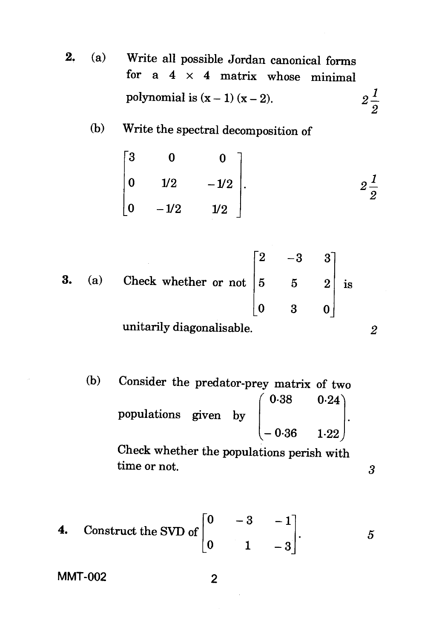2. (a) Write all possible Jordan canonical forms for  $a \times 4$  matrix whose minimal polynomial is  $(x - 1) (x - 2)$ .  $2\frac{1}{2}$ 

## (b) Write the spectral decomposition of

$$
\begin{bmatrix} 3 & 0 & 0 \ 0 & 1/2 & -1/2 \ 0 & -1/2 & 1/2 \end{bmatrix}.
$$
  $2\frac{1}{2}$ 

3. (a) Check whether or not 
$$
\begin{bmatrix} 2 & -3 & 3 \ 5 & 5 & 2 \ 0 & 3 & 0 \end{bmatrix}
$$
 is unitarily diagonalisable.

(b) Consider the predator-prey matrix of two  $0.38$   $0.24$ populations given by  $0.36$   $1.22$ Check whether the populations perish with

time or not. 3

4. Construct the SVD of 
$$
\begin{bmatrix} 0 & -3 & -1 \\ 0 & 1 & -3 \end{bmatrix}
$$
. 5

MMT-002 2